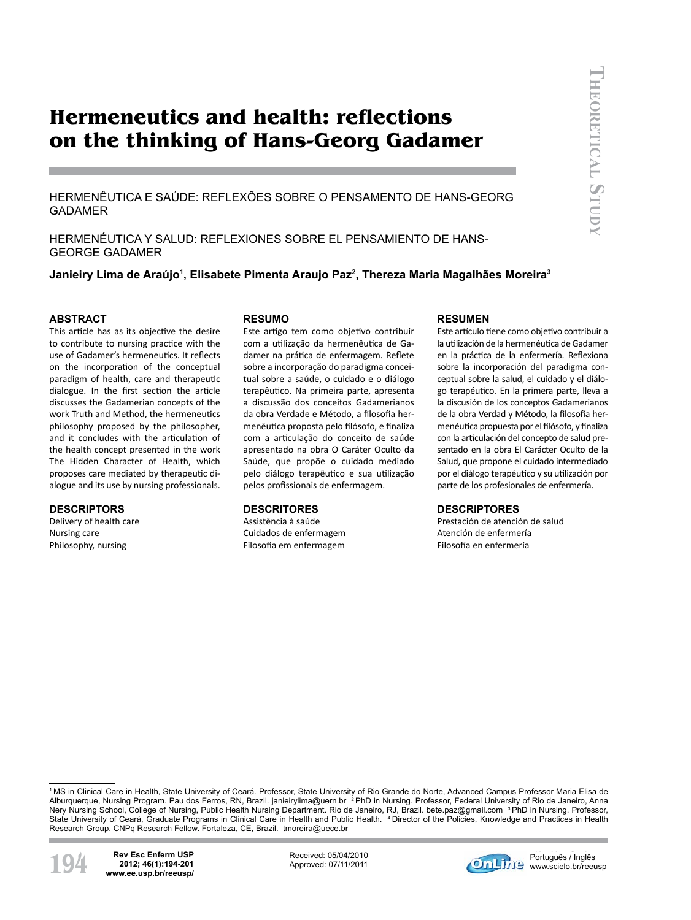# **Hermeneutics and health: reflections on the thinking of Hans-Georg Gadamer**

Hermenêutica e saúde: reflexões sobre o pensamento de Hans-Georg **GADAMER** 

Hermenéutica y salud: reflexiones sobre el pensamiento de Hans-George Gadamer

**Janieiry Lima de Araújo<sup>1</sup> , Elisabete Pimenta Araujo Paz<sup>2</sup> , Thereza Maria Magalhães Moreira<sup>3</sup>**

## **Abstract**

This article has as its objective the desire to contribute to nursing practice with the use of Gadamer's hermeneutics. It reflects on the incorporation of the conceptual paradigm of health, care and therapeutic dialogue. In the first section the article discusses the Gadamerian concepts of the work Truth and Method, the hermeneutics philosophy proposed by the philosopher, and it concludes with the articulation of the health concept presented in the work The Hidden Character of Health, which proposes care mediated by therapeutic dialogue and its use by nursing professionals.

## **descriptors**

Delivery of health care Nursing care Philosophy, nursing

#### **resumo**

Este artigo tem como objetivo contribuir com a utilização da hermenêutica de Gadamer na prática de enfermagem. Reflete sobre a incorporação do paradigma conceitual sobre a saúde, o cuidado e o diálogo terapêutico. Na primeira parte, apresenta a discussão dos conceitos Gadamerianos da obra Verdade e Método, a filosofia hermenêutica proposta pelo filósofo, e finaliza com a articulação do conceito de saúde apresentado na obra O Caráter Oculto da Saúde, que propõe o cuidado mediado pelo diálogo terapêutico e sua utilização pelos profissionais de enfermagem.

## **descritores**

Assistência à saúde Cuidados de enfermagem Filosofia em enfermagem

#### **Resumen**

Este artículo tiene como objetivo contribuir a la utilización de la hermenéutica de Gadamer en la práctica de la enfermería. Reflexiona sobre la incorporación del paradigma conceptual sobre la salud, el cuidado y el diálogo terapéutico. En la primera parte, lleva a la discusión de los conceptos Gadamerianos de la obra Verdad y Método, la filosofía hermenéutica propuesta por el filósofo, y finaliza con la articulación del concepto de salud presentado en la obra El Carácter Oculto de la Salud, que propone el cuidado intermediado por el diálogo terapéutico y su utilización por parte de los profesionales de enfermería.

## **descriptores**

Prestación de atención de salud Atención de enfermería Filosofía en enfermería

1 MS in Clinical Care in Health, State University of Ceará. Professor, State University of Rio Grande do Norte, Advanced Campus Professor Maria Elisa de Alburquerque, Nursing Program. Pau dos Ferros, RN, Brazil. janieirylima@uern.br<sup>2</sup>PhD in Nursing. Professor, Federal University of Rio de Janeiro, Anna Nery Nursing School, College of Nursing, Public Health Nursing Department. Rio de Janeiro, RJ, Brazil. bete.paz@gmail.com <sup>3</sup> PhD in Nursing. Professor, State University of Ceará, Graduate Programs in Clinical Care in Health and Public Health. 4 Director of the Policies, Knowledge and Practices in Health Research Group. CNPq Research Fellow. Fortaleza, CE, Brazil. tmoreira@uece.br

Received: 05/04/2010<br>Approved: 07/11/2011

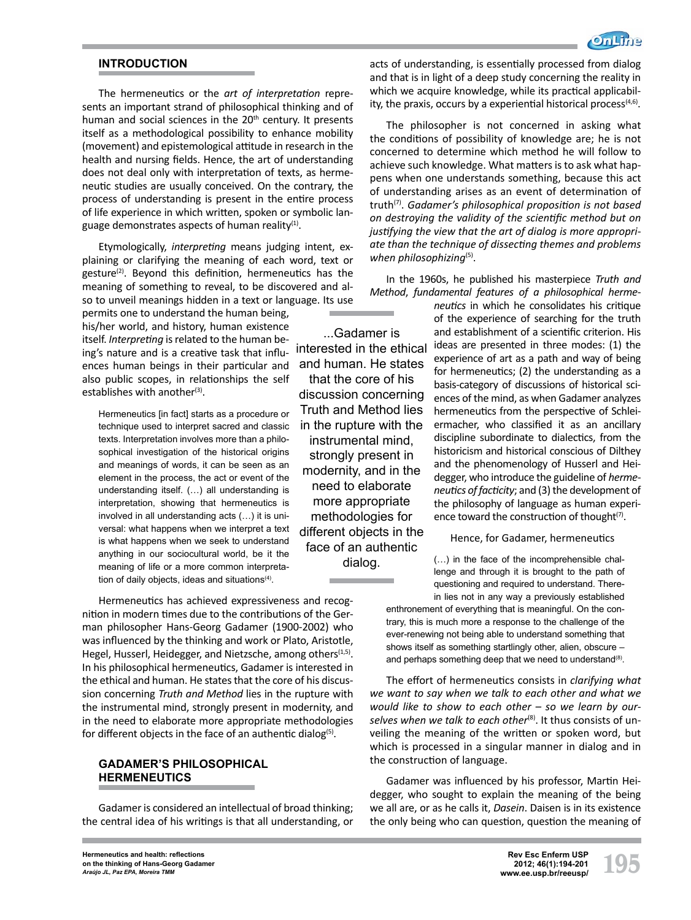

## **Introduction**

The hermeneutics or the *art of interpretation* represents an important strand of philosophical thinking and of human and social sciences in the 20<sup>th</sup> century. It presents itself as a methodological possibility to enhance mobility (movement) and epistemological attitude in research in the health and nursing fields. Hence, the art of understanding does not deal only with interpretation of texts, as hermeneutic studies are usually conceived. On the contrary, the process of understanding is present in the entire process of life experience in which written, spoken or symbolic language demonstrates aspects of human reality $(1)$ .

Etymologically, *interpreting* means judging intent, explaining or clarifying the meaning of each word, text or gesture<sup>(2)</sup>. Beyond this definition, hermeneutics has the meaning of something to reveal, to be discovered and also to unveil meanings hidden in a text or language. Its use

permits one to understand the human being, his/her world, and history, human existence itself. *Interpreting* is related to the human being's nature and is a creative task that influences human beings in their particular and also public scopes, in relationships the self establishes with another<sup>(3)</sup>.

Hermeneutics [in fact] starts as a procedure or technique used to interpret sacred and classic texts. Interpretation involves more than a philosophical investigation of the historical origins and meanings of words, it can be seen as an element in the process, the act or event of the understanding itself. (…) all understanding is interpretation, showing that hermeneutics is involved in all understanding acts (…) it is universal: what happens when we interpret a text is what happens when we seek to understand anything in our sociocultural world, be it the meaning of life or a more common interpretation of daily objects, ideas and situations<sup>(4)</sup>.

Hermeneutics has achieved expressiveness and recognition in modern times due to the contributions of the German philosopher Hans-Georg Gadamer (1900-2002) who was influenced by the thinking and work or Plato, Aristotle, Hegel, Husserl, Heidegger, and Nietzsche, among others<sup>(1,5)</sup>. In his philosophical hermeneutics, Gadamer is interested in the ethical and human. He states that the core of his discussion concerning *Truth and Method* lies in the rupture with the instrumental mind, strongly present in modernity, and in the need to elaborate more appropriate methodologies for different objects in the face of an authentic dialog<sup>(5)</sup>.

## **Gadamer's PHILOSOPHICAL HERMENEUTICS**

Gadamer is considered an intellectual of broad thinking; the central idea of his writings is that all understanding, or

...Gadamer is interested in the ethical and human. He states that the core of his discussion concerning Truth and Method lies in the rupture with the instrumental mind, strongly present in modernity, and in the need to elaborate more appropriate methodologies for different objects in the face of an authentic dialog.

acts of understanding, is essentially processed from dialog and that is in light of a deep study concerning the reality in which we acquire knowledge, while its practical applicability, the praxis, occurs by a experiential historical process $(4,6)$ .

The philosopher is not concerned in asking what the conditions of possibility of knowledge are; he is not concerned to determine which method he will follow to achieve such knowledge. What matters is to ask what happens when one understands something, because this act of understanding arises as an event of determination of truth(7). *Gadamer's philosophical proposition is not based on destroying the validity of the scientific method but on justifying the view that the art of dialog is more appropriate than the technique of dissecting themes and problems*  when philosophizing<sup>(5)</sup>.

In the 1960s, he published his masterpiece *Truth and Method*, *fundamental features of a philosophical herme-*

> *neutics* in which he consolidates his critique of the experience of searching for the truth and establishment of a scientific criterion. His ideas are presented in three modes: (1) the experience of art as a path and way of being for hermeneutics; (2) the understanding as a basis-category of discussions of historical sciences of the mind, as when Gadamer analyzes hermeneutics from the perspective of Schleiermacher, who classified it as an ancillary discipline subordinate to dialectics, from the historicism and historical conscious of Dilthey and the phenomenology of Husserl and Heidegger, who introduce the guideline of *hermeneutics of facticity*; and (3) the development of the philosophy of language as human experience toward the construction of thought $(7)$ .

Hence, for Gadamer, hermeneutics

(…) in the face of the incomprehensible challenge and through it is brought to the path of questioning and required to understand. Therein lies not in any way a previously established

enthronement of everything that is meaningful. On the contrary, this is much more a response to the challenge of the ever-renewing not being able to understand something that shows itself as something startlingly other, alien, obscure – and perhaps something deep that we need to understand<sup>(8)</sup>.

The effort of hermeneutics consists in *clarifying what we want to say when we talk to each other and what we would like to show to each other – so we learn by our*selves when we talk to each other<sup>(8)</sup>. It thus consists of unveiling the meaning of the written or spoken word, but which is processed in a singular manner in dialog and in the construction of language.

Gadamer was influenced by his professor, Martin Heidegger, who sought to explain the meaning of the being we all are, or as he calls it, *Dasein*. Daisen is in its existence the only being who can question, question the meaning of

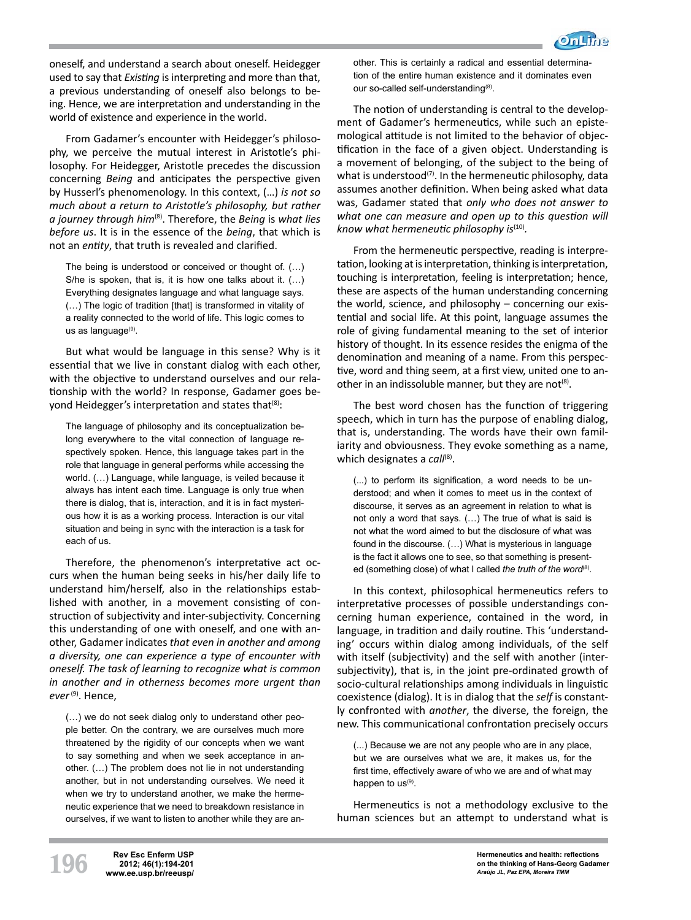

oneself, and understand a search about oneself. Heidegger used to say that *Existing* is interpreting and more than that, a previous understanding of oneself also belongs to being. Hence, we are interpretation and understanding in the world of existence and experience in the world.

From Gadamer's encounter with Heidegger's philosophy, we perceive the mutual interest in Aristotle's philosophy. For Heidegger, Aristotle precedes the discussion concerning *Being* and anticipates the perspective given by Husserl's phenomenology. In this context, (…) *is not so much about a return to Aristotle's philosophy, but rather a journey through him*(8). Therefore, the *Being* is *what lies before us*. It is in the essence of the *being*, that which is not an *entity*, that truth is revealed and clarified.

The being is understood or conceived or thought of. (…) S/he is spoken, that is, it is how one talks about it. (…) Everything designates language and what language says. (…) The logic of tradition [that] is transformed in vitality of a reality connected to the world of life. This logic comes to us as language<sup>(9)</sup>.

But what would be language in this sense? Why is it essential that we live in constant dialog with each other, with the objective to understand ourselves and our relationship with the world? In response, Gadamer goes beyond Heidegger's interpretation and states that<sup>(8)</sup>:

The language of philosophy and its conceptualization belong everywhere to the vital connection of language respectively spoken. Hence, this language takes part in the role that language in general performs while accessing the world. (…) Language, while language, is veiled because it always has intent each time. Language is only true when there is dialog, that is, interaction, and it is in fact mysterious how it is as a working process. Interaction is our vital situation and being in sync with the interaction is a task for each of us.

Therefore, the phenomenon's interpretative act occurs when the human being seeks in his/her daily life to understand him/herself, also in the relationships established with another, in a movement consisting of construction of subjectivity and inter-subjectivity. Concerning this understanding of one with oneself, and one with another, Gadamer indicates *that even in another and among a diversity, one can experience a type of encounter with oneself. The task of learning to recognize what is common in another and in otherness becomes more urgent than ever* (9). Hence,

(…) we do not seek dialog only to understand other people better. On the contrary, we are ourselves much more threatened by the rigidity of our concepts when we want to say something and when we seek acceptance in another. (…) The problem does not lie in not understanding another, but in not understanding ourselves. We need it when we try to understand another, we make the hermeneutic experience that we need to breakdown resistance in ourselves, if we want to listen to another while they are another. This is certainly a radical and essential determination of the entire human existence and it dominates even our so-called self-understanding<sup>(8)</sup>.

The notion of understanding is central to the development of Gadamer's hermeneutics, while such an epistemological attitude is not limited to the behavior of objectification in the face of a given object. Understanding is a movement of belonging, of the subject to the being of what is understood $(7)$ . In the hermeneutic philosophy, data assumes another definition. When being asked what data was, Gadamer stated that *only who does not answer to what one can measure and open up to this question will know what hermeneutic philosophy is*(10)*.*

From the hermeneutic perspective, reading is interpretation, looking at is interpretation, thinking is interpretation, touching is interpretation, feeling is interpretation; hence, these are aspects of the human understanding concerning the world, science, and philosophy – concerning our existential and social life. At this point, language assumes the role of giving fundamental meaning to the set of interior history of thought. In its essence resides the enigma of the denomination and meaning of a name. From this perspective, word and thing seem, at a first view, united one to another in an indissoluble manner, but they are not $(8)$ .

The best word chosen has the function of triggering speech, which in turn has the purpose of enabling dialog, that is, understanding. The words have their own familiarity and obviousness. They evoke something as a name, which designates a *call*<sup>(8)</sup>.

(...) to perform its signification, a word needs to be understood; and when it comes to meet us in the context of discourse, it serves as an agreement in relation to what is not only a word that says. (…) The true of what is said is not what the word aimed to but the disclosure of what was found in the discourse. (…) What is mysterious in language is the fact it allows one to see, so that something is presented (something close) of what I called *the truth of the word*<sup>(8)</sup>.

In this context, philosophical hermeneutics refers to interpretative processes of possible understandings concerning human experience, contained in the word, in language, in tradition and daily routine. This 'understanding' occurs within dialog among individuals, of the self with itself (subjectivity) and the self with another (intersubjectivity), that is, in the joint pre-ordinated growth of socio-cultural relationships among individuals in linguistic coexistence (dialog). It is in dialog that the *self* is constantly confronted with *another*, the diverse, the foreign, the new. This communicational confrontation precisely occurs

(...) Because we are not any people who are in any place, but we are ourselves what we are, it makes us, for the first time, effectively aware of who we are and of what may happen to us<sup>(9)</sup>.

Hermeneutics is not a methodology exclusive to the human sciences but an attempt to understand what is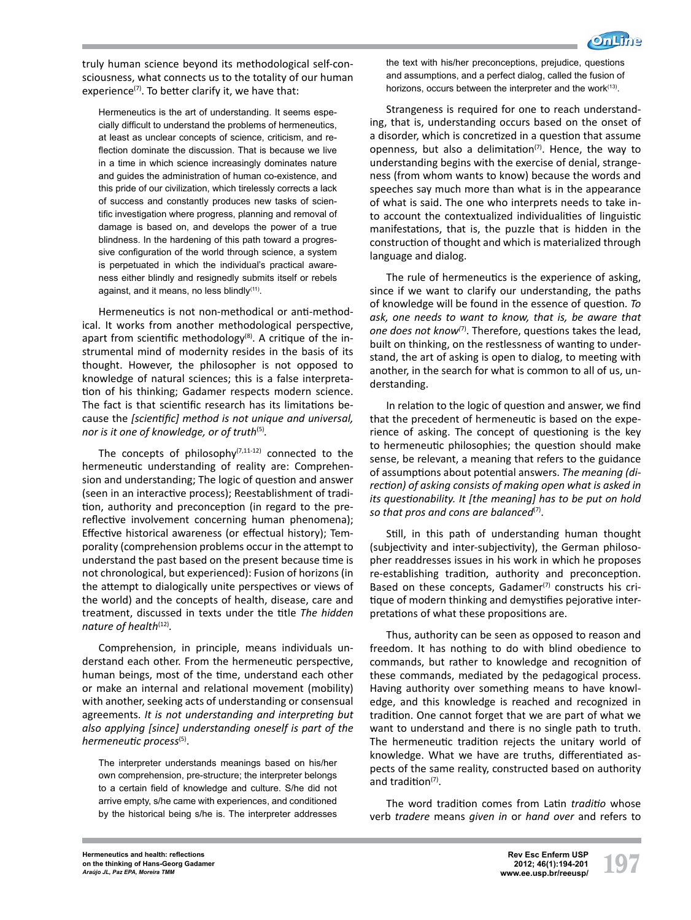

truly human science beyond its methodological self-consciousness, what connects us to the totality of our human experience<sup>(7)</sup>. To better clarify it, we have that:

Hermeneutics is the art of understanding. It seems especially difficult to understand the problems of hermeneutics, at least as unclear concepts of science, criticism, and reflection dominate the discussion. That is because we live in a time in which science increasingly dominates nature and guides the administration of human co-existence, and this pride of our civilization, which tirelessly corrects a lack of success and constantly produces new tasks of scientific investigation where progress, planning and removal of damage is based on, and develops the power of a true blindness. In the hardening of this path toward a progressive configuration of the world through science, a system is perpetuated in which the individual's practical awareness either blindly and resignedly submits itself or rebels against, and it means, no less blindly(11).

Hermeneutics is not non-methodical or anti-methodical. It works from another methodological perspective, apart from scientific methodology<sup>(8)</sup>. A critique of the instrumental mind of modernity resides in the basis of its thought. However, the philosopher is not opposed to knowledge of natural sciences; this is a false interpretation of his thinking; Gadamer respects modern science. The fact is that scientific research has its limitations because the *[scientific] method is not unique and universal, nor is it one of knowledge, or of truth*<sup>(5)</sup>.

The concepts of philosophy $(7,11-12)$  connected to the hermeneutic understanding of reality are: Comprehension and understanding; The logic of question and answer (seen in an interactive process); Reestablishment of tradition, authority and preconception (in regard to the prereflective involvement concerning human phenomena); Effective historical awareness (or effectual history); Temporality (comprehension problems occur in the attempt to understand the past based on the present because time is not chronological, but experienced): Fusion of horizons (in the attempt to dialogically unite perspectives or views of the world) and the concepts of health, disease, care and treatment, discussed in texts under the title *The hidden nature of health*<sup>(12)</sup>.

Comprehension, in principle, means individuals understand each other. From the hermeneutic perspective, human beings, most of the time, understand each other or make an internal and relational movement (mobility) with another, seeking acts of understanding or consensual agreements. *It is not understanding and interpreting but also applying [since] understanding oneself is part of the hermeneutic process*<sup>(5)</sup>.

The interpreter understands meanings based on his/her own comprehension, pre-structure; the interpreter belongs to a certain field of knowledge and culture. S/he did not arrive empty, s/he came with experiences, and conditioned by the historical being s/he is. The interpreter addresses

the text with his/her preconceptions, prejudice, questions and assumptions, and a perfect dialog, called the fusion of horizons, occurs between the interpreter and the work<sup>(13)</sup>.

Strangeness is required for one to reach understanding, that is, understanding occurs based on the onset of a disorder, which is concretized in a question that assume openness, but also a delimitation<sup> $(7)$ </sup>. Hence, the way to understanding begins with the exercise of denial, strangeness (from whom wants to know) because the words and speeches say much more than what is in the appearance of what is said. The one who interprets needs to take into account the contextualized individualities of linguistic manifestations, that is, the puzzle that is hidden in the construction of thought and which is materialized through language and dialog.

The rule of hermeneutics is the experience of asking, since if we want to clarify our understanding, the paths of knowledge will be found in the essence of question. *To ask, one needs to want to know, that is, be aware that one does not know(*7). Therefore, questions takes the lead, built on thinking, on the restlessness of wanting to understand, the art of asking is open to dialog, to meeting with another, in the search for what is common to all of us, understanding.

In relation to the logic of question and answer, we find that the precedent of hermeneutic is based on the experience of asking. The concept of questioning is the key to hermeneutic philosophies; the question should make sense, be relevant, a meaning that refers to the guidance of assumptions about potential answers. *The meaning (direction) of asking consists of making open what is asked in its questionability. It [the meaning] has to be put on hold*  so that pros and cons are balanced<sup>(7)</sup>.

Still, in this path of understanding human thought (subjectivity and inter-subjectivity), the German philosopher readdresses issues in his work in which he proposes re-establishing tradition, authority and preconception. Based on these concepts, Gadamer<sup>(7)</sup> constructs his critique of modern thinking and demystifies pejorative interpretations of what these propositions are.

Thus, authority can be seen as opposed to reason and freedom. It has nothing to do with blind obedience to commands, but rather to knowledge and recognition of these commands, mediated by the pedagogical process. Having authority over something means to have knowledge, and this knowledge is reached and recognized in tradition. One cannot forget that we are part of what we want to understand and there is no single path to truth. The hermeneutic tradition rejects the unitary world of knowledge. What we have are truths, differentiated aspects of the same reality, constructed based on authority and tradition<sup>(7)</sup>.

The word tradition comes from Latin *traditio* whose verb *tradere* means *given in* or *hand over* and refers to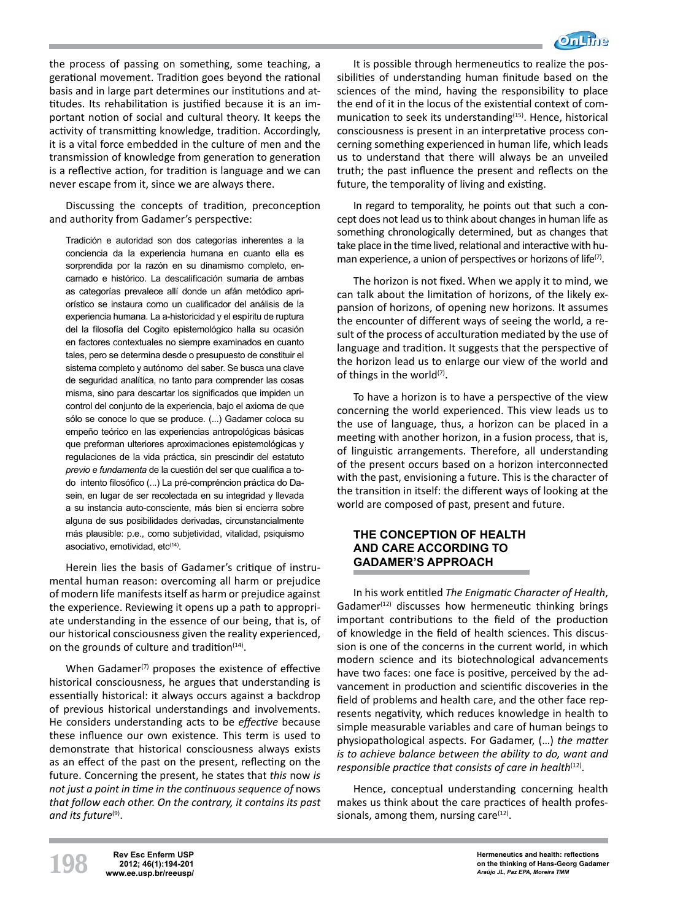

the process of passing on something, some teaching, a gerational movement. Tradition goes beyond the rational basis and in large part determines our institutions and attitudes. Its rehabilitation is justified because it is an important notion of social and cultural theory. It keeps the activity of transmitting knowledge, tradition. Accordingly, it is a vital force embedded in the culture of men and the transmission of knowledge from generation to generation is a reflective action, for tradition is language and we can never escape from it, since we are always there.

Discussing the concepts of tradition, preconception and authority from Gadamer's perspective:

Tradición e autoridad son dos categorías inherentes a la conciencia da la experiencia humana en cuanto ella es sorprendida por la razón en su dinamismo completo, encarnado e histórico. La descalificación sumaria de ambas as categorías prevalece allí donde un afán metódico apriorístico se instaura como un cualificador del análisis de la experiencia humana. La a-historicidad y el espíritu de ruptura del la filosofía del Cogito epistemológico halla su ocasión en factores contextuales no siempre examinados en cuanto tales, pero se determina desde o presupuesto de constituir el sistema completo y autónomo del saber. Se busca una clave de seguridad analítica, no tanto para comprender las cosas misma, sino para descartar los significados que impiden un control del conjunto de la experiencia, bajo el axioma de que sólo se conoce lo que se produce. (...) Gadamer coloca su empeño teórico en las experiencias antropológicas básicas que preforman ulteriores aproximaciones epistemológicas y regulaciones de la vida práctica, sin prescindir del estatuto *previo e fundamenta* de la cuestión del ser que cualifica a todo intento filosófico (...) La pré-compréncion práctica do Dasein, en lugar de ser recolectada en su integridad y llevada a su instancia auto-consciente, más bien si encierra sobre alguna de sus posibilidades derivadas, circunstancialmente más plausible: p.e., como subjetividad, vitalidad, psiquismo asociativo, emotividad, etc<sup>(14)</sup>.

Herein lies the basis of Gadamer's critique of instrumental human reason: overcoming all harm or prejudice of modern life manifests itself as harm or prejudice against the experience. Reviewing it opens up a path to appropriate understanding in the essence of our being, that is, of our historical consciousness given the reality experienced, on the grounds of culture and tradition $(14)$ .

When Gadamer<sup> $(7)$ </sup> proposes the existence of effective historical consciousness, he argues that understanding is essentially historical: it always occurs against a backdrop of previous historical understandings and involvements. He considers understanding acts to be *effective* because these influence our own existence. This term is used to demonstrate that historical consciousness always exists as an effect of the past on the present, reflecting on the future. Concerning the present, he states that *this* now *is not just a point in time in the continuous sequence of nows that follow each other. On the contrary, it contains its past*  and its future<sup>(9)</sup>.

It is possible through hermeneutics to realize the possibilities of understanding human finitude based on the sciences of the mind, having the responsibility to place the end of it in the locus of the existential context of communication to seek its understanding<sup>(15)</sup>. Hence, historical consciousness is present in an interpretative process concerning something experienced in human life, which leads us to understand that there will always be an unveiled truth; the past influence the present and reflects on the future, the temporality of living and existing.

In regard to temporality, he points out that such a concept does not lead us to think about changes in human life as something chronologically determined, but as changes that take place in the time lived, relational and interactive with human experience, a union of perspectives or horizons of life<sup>(7)</sup>.

The horizon is not fixed. When we apply it to mind, we can talk about the limitation of horizons, of the likely expansion of horizons, of opening new horizons. It assumes the encounter of different ways of seeing the world, a result of the process of acculturation mediated by the use of language and tradition. It suggests that the perspective of the horizon lead us to enlarge our view of the world and of things in the world $(7)$ .

To have a horizon is to have a perspective of the view concerning the world experienced. This view leads us to the use of language, thus, a horizon can be placed in a meeting with another horizon, in a fusion process, that is, of linguistic arrangements. Therefore, all understanding of the present occurs based on a horizon interconnected with the past, envisioning a future. This is the character of the transition in itself: the different ways of looking at the world are composed of past, present and future.

# **THE CONCEPTION OF HEALTH AND CARE ACCORDING TO GADAMER'S APPROACH**

In his work entitled *The Enigmatic Character of Health*, Gadamer $(12)$  discusses how hermeneutic thinking brings important contributions to the field of the production of knowledge in the field of health sciences. This discussion is one of the concerns in the current world, in which modern science and its biotechnological advancements have two faces: one face is positive, perceived by the advancement in production and scientific discoveries in the field of problems and health care, and the other face represents negativity, which reduces knowledge in health to simple measurable variables and care of human beings to physiopathological aspects. For Gadamer, (…) *the matter is to achieve balance between the ability to do, want and responsible practice that consists of care in health*<sup>(12)</sup>.

Hence, conceptual understanding concerning health makes us think about the care practices of health professionals, among them, nursing care $(12)$ .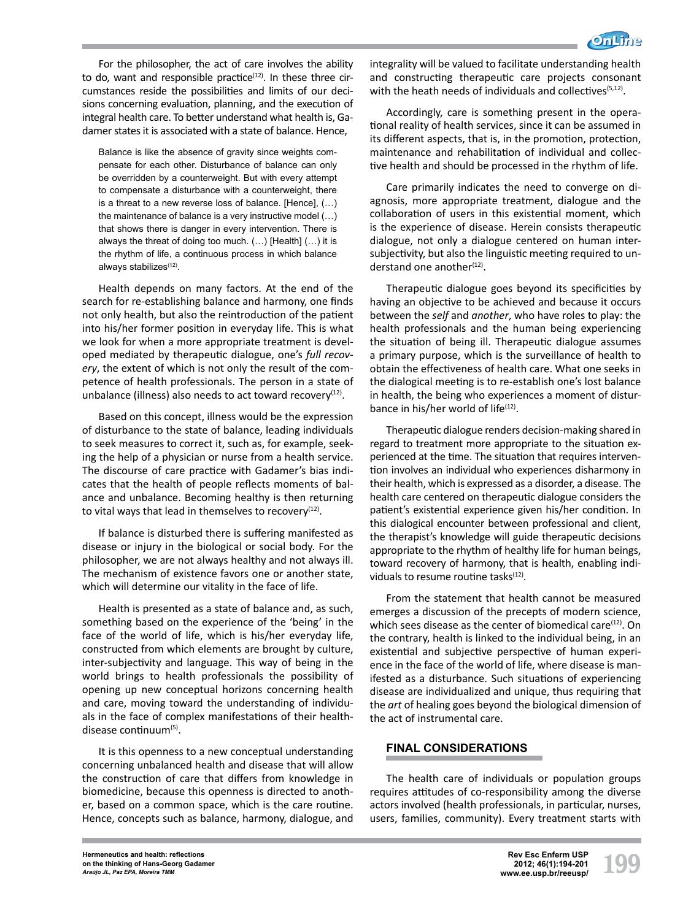For the philosopher, the act of care involves the ability to do, want and responsible practice $(12)$ . In these three circumstances reside the possibilities and limits of our decisions concerning evaluation, planning, and the execution of integral health care. To better understand what health is, Gadamer states it is associated with a state of balance. Hence,

Balance is like the absence of gravity since weights compensate for each other. Disturbance of balance can only be overridden by a counterweight. But with every attempt to compensate a disturbance with a counterweight, there is a threat to a new reverse loss of balance. [Hence], (…) the maintenance of balance is a very instructive model (…) that shows there is danger in every intervention. There is always the threat of doing too much. (…) [Health] (…) it is the rhythm of life, a continuous process in which balance always stabilizes<sup>(12)</sup>.

Health depends on many factors. At the end of the search for re-establishing balance and harmony, one finds not only health, but also the reintroduction of the patient into his/her former position in everyday life. This is what we look for when a more appropriate treatment is developed mediated by therapeutic dialogue, one's *full recovery*, the extent of which is not only the result of the competence of health professionals. The person in a state of unbalance (illness) also needs to act toward recovery $(12)$ .

Based on this concept, illness would be the expression of disturbance to the state of balance, leading individuals to seek measures to correct it, such as, for example, seeking the help of a physician or nurse from a health service. The discourse of care practice with Gadamer's bias indicates that the health of people reflects moments of balance and unbalance. Becoming healthy is then returning to vital ways that lead in themselves to recovery $(12)$ .

If balance is disturbed there is suffering manifested as disease or injury in the biological or social body. For the philosopher, we are not always healthy and not always ill. The mechanism of existence favors one or another state, which will determine our vitality in the face of life.

Health is presented as a state of balance and, as such, something based on the experience of the 'being' in the face of the world of life, which is his/her everyday life, constructed from which elements are brought by culture, inter-subjectivity and language. This way of being in the world brings to health professionals the possibility of opening up new conceptual horizons concerning health and care, moving toward the understanding of individuals in the face of complex manifestations of their healthdisease continuum(5).

It is this openness to a new conceptual understanding concerning unbalanced health and disease that will allow the construction of care that differs from knowledge in biomedicine, because this openness is directed to another, based on a common space, which is the care routine. Hence, concepts such as balance, harmony, dialogue, and integrality will be valued to facilitate understanding health and constructing therapeutic care projects consonant with the heath needs of individuals and collectives<sup>(5,12)</sup>.

Accordingly, care is something present in the operational reality of health services, since it can be assumed in its different aspects, that is, in the promotion, protection, maintenance and rehabilitation of individual and collective health and should be processed in the rhythm of life.

Care primarily indicates the need to converge on diagnosis, more appropriate treatment, dialogue and the collaboration of users in this existential moment, which is the experience of disease. Herein consists therapeutic dialogue, not only a dialogue centered on human intersubjectivity, but also the linguistic meeting required to understand one another $(12)$ .

Therapeutic dialogue goes beyond its specificities by having an objective to be achieved and because it occurs between the *self* and *another*, who have roles to play: the health professionals and the human being experiencing the situation of being ill. Therapeutic dialogue assumes a primary purpose, which is the surveillance of health to obtain the effectiveness of health care. What one seeks in the dialogical meeting is to re-establish one's lost balance in health, the being who experiences a moment of disturbance in his/her world of life<sup>(12)</sup>.

Therapeutic dialogue renders decision-making shared in regard to treatment more appropriate to the situation experienced at the time. The situation that requires intervention involves an individual who experiences disharmony in their health, which is expressed as a disorder, a disease. The health care centered on therapeutic dialogue considers the patient's existential experience given his/her condition. In this dialogical encounter between professional and client, the therapist's knowledge will guide therapeutic decisions appropriate to the rhythm of healthy life for human beings, toward recovery of harmony, that is health, enabling individuals to resume routine tasks $(12)$ .

From the statement that health cannot be measured emerges a discussion of the precepts of modern science, which sees disease as the center of biomedical care<sup>(12)</sup>. On the contrary, health is linked to the individual being, in an existential and subjective perspective of human experience in the face of the world of life, where disease is manifested as a disturbance. Such situations of experiencing disease are individualized and unique, thus requiring that the *art* of healing goes beyond the biological dimension of the act of instrumental care.

## **FINAL CONSIDERATIONS**

The health care of individuals or population groups requires attitudes of co-responsibility among the diverse actors involved (health professionals, in particular, nurses, users, families, community). Every treatment starts with

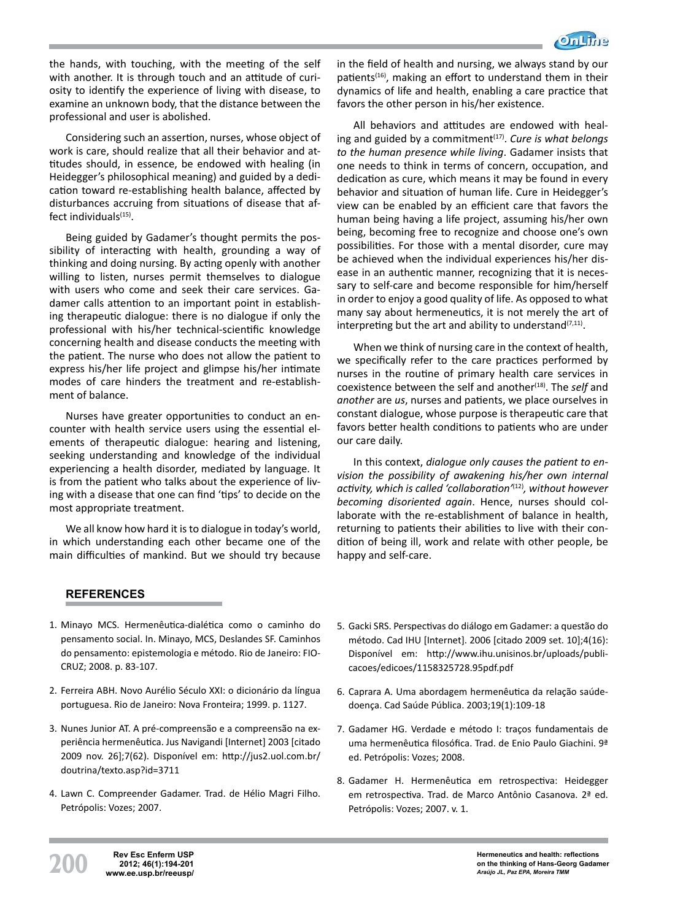

the hands, with touching, with the meeting of the self with another. It is through touch and an attitude of curiosity to identify the experience of living with disease, to examine an unknown body, that the distance between the professional and user is abolished.

Considering such an assertion, nurses, whose object of work is care, should realize that all their behavior and attitudes should, in essence, be endowed with healing (in Heidegger's philosophical meaning) and guided by a dedication toward re-establishing health balance, affected by disturbances accruing from situations of disease that affect individuals<sup>(15)</sup>.

Being guided by Gadamer's thought permits the possibility of interacting with health, grounding a way of thinking and doing nursing. By acting openly with another willing to listen, nurses permit themselves to dialogue with users who come and seek their care services. Gadamer calls attention to an important point in establishing therapeutic dialogue: there is no dialogue if only the professional with his/her technical-scientific knowledge concerning health and disease conducts the meeting with the patient. The nurse who does not allow the patient to express his/her life project and glimpse his/her intimate modes of care hinders the treatment and re-establishment of balance.

Nurses have greater opportunities to conduct an encounter with health service users using the essential elements of therapeutic dialogue: hearing and listening, seeking understanding and knowledge of the individual experiencing a health disorder, mediated by language. It is from the patient who talks about the experience of living with a disease that one can find 'tips' to decide on the most appropriate treatment.

We all know how hard it is to dialogue in today's world, in which understanding each other became one of the main difficulties of mankind. But we should try because

in the field of health and nursing, we always stand by our patients<sup>(16)</sup>, making an effort to understand them in their dynamics of life and health, enabling a care practice that favors the other person in his/her existence.

All behaviors and attitudes are endowed with healing and guided by a commitment<sup>(17)</sup>. *Cure is what belongs to the human presence while living*. Gadamer insists that one needs to think in terms of concern, occupation, and dedication as cure, which means it may be found in every behavior and situation of human life. Cure in Heidegger's view can be enabled by an efficient care that favors the human being having a life project, assuming his/her own being, becoming free to recognize and choose one's own possibilities. For those with a mental disorder, cure may be achieved when the individual experiences his/her disease in an authentic manner, recognizing that it is necessary to self-care and become responsible for him/herself in order to enjoy a good quality of life. As opposed to what many say about hermeneutics, it is not merely the art of interpreting but the art and ability to understand $(7,11)$ .

When we think of nursing care in the context of health, we specifically refer to the care practices performed by nurses in the routine of primary health care services in coexistence between the self and another<sup>(18)</sup>. The *self* and *another* are *us*, nurses and patients, we place ourselves in constant dialogue, whose purpose is therapeutic care that favors better health conditions to patients who are under our care daily.

In this context, *dialogue only causes the patient to envision the possibility of awakening his/her own internal activity, which is called 'collaboration'*(12)*, without however becoming disoriented again*. Hence, nurses should collaborate with the re-establishment of balance in health, returning to patients their abilities to live with their condition of being ill, work and relate with other people, be happy and self-care.

## **REFERENCES**

- 1. Minayo MCS. Hermenêutica-dialética como o caminho do pensamento social. In. Minayo, MCS, Deslandes SF. Caminhos do pensamento: epistemologia e método. Rio de Janeiro: FIO-CRUZ; 2008. p. 83-107.
- 2. Ferreira ABH. Novo Aurélio Século XXI: o dicionário da língua portuguesa. Rio de Janeiro: Nova Fronteira; 1999. p. 1127.
- 3. Nunes Junior AT. A pré-compreensão e a compreensão na experiência hermenêutica. Jus Navigandi [Internet] 2003 [citado 2009 nov. 26];7(62). Disponível em: http://jus2.uol.com.br/ doutrina/texto.asp?id=3711
- 4. Lawn C. Compreender Gadamer. Trad. de Hélio Magri Filho. Petrópolis: Vozes; 2007.
- 5. Gacki SRS. Perspectivas do diálogo em Gadamer: a questão do método. Cad IHU [Internet]. 2006 [citado 2009 set. 10];4(16): Disponível em: http://www.ihu.unisinos.br/uploads/publicacoes/edicoes/1158325728.95pdf.pdf
- 6. Caprara A. Uma abordagem hermenêutica da relação saúdedoença. Cad Saúde Pública. 2003;19(1):109-18
- 7. Gadamer HG. Verdade e método I: traços fundamentais de uma hermenêutica filosófica. Trad. de Enio Paulo Giachini. 9ª ed. Petrópolis: Vozes; 2008.
- 8. Gadamer H. Hermenêutica em retrospectiva: Heidegger em retrospectiva. Trad. de Marco Antônio Casanova. 2ª ed. Petrópolis: Vozes; 2007. v. 1.